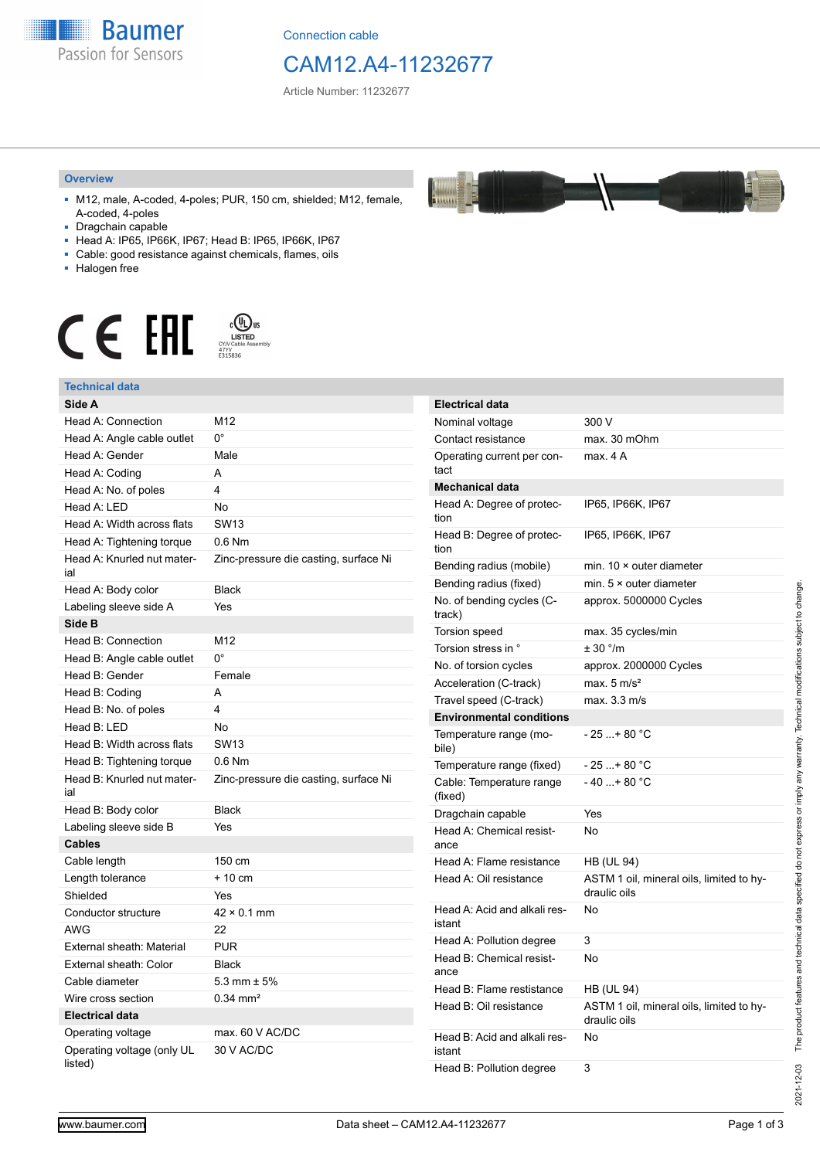

Connection cable

## CAM12.A4-11232677

 $\frac{1}{2}$ 

Article Number: 11232677

#### **Overview**

- M12, male, A-coded, 4-poles; PUR, 150 cm, shielded; M12, female, A-coded, 4-poles
- Dragchain capable
- Head A: IP65, IP66K, IP67; Head B: IP65, IP66K, IP67
- Cable: good resistance against chemicals, flames, oils
- Halogen free



#### **Technical data**

| Technical data                        |                                       |
|---------------------------------------|---------------------------------------|
| Side A                                |                                       |
| Head A: Connection                    | M12                                   |
| Head A: Angle cable outlet            | $0^{\circ}$                           |
| Head A: Gender                        | Male                                  |
| Head A: Coding                        | A                                     |
| Head A: No. of poles                  | 4                                     |
| Head A: LED                           | No                                    |
| Head A: Width across flats            | <b>SW13</b>                           |
| Head A: Tightening torque             | $0.6$ Nm                              |
| Head A: Knurled nut mater-<br>ial     | Zinc-pressure die casting, surface Ni |
| Head A: Body color                    | <b>Black</b>                          |
| Labeling sleeve side A                | Yes                                   |
| Side B                                |                                       |
| Head B: Connection                    | M12                                   |
| Head B: Angle cable outlet            | $0^{\circ}$                           |
| Head B: Gender                        | Female                                |
| Head B: Coding                        | A                                     |
| Head B: No. of poles                  | $\overline{\mathbf{4}}$               |
| Head B: LED                           | No                                    |
| Head B: Width across flats            | <b>SW13</b>                           |
| Head B: Tightening torque             | $0.6$ Nm                              |
| Head B: Knurled nut mater-<br>ial     | Zinc-pressure die casting, surface Ni |
| Head B: Body color                    | <b>Black</b>                          |
| Labeling sleeve side B                | Yes                                   |
| <b>Cables</b>                         |                                       |
| Cable length                          | 150 cm                                |
| Length tolerance                      | $+10$ cm                              |
| Shielded                              | Yes                                   |
| Conductor structure                   | $42 \times 0.1$ mm                    |
| <b>AWG</b>                            | 22                                    |
| External sheath: Material             | <b>PUR</b>                            |
| External sheath: Color                | Black                                 |
| Cable diameter                        | $5.3$ mm $\pm 5\%$                    |
| Wire cross section                    | $0.34$ mm <sup>2</sup>                |
| <b>Electrical data</b>                |                                       |
| Operating voltage                     | max. 60 V AC/DC                       |
| Operating voltage (only UL<br>listed) | 30 V AC/DC                            |

| <b>Electrical data</b>                 |                                                          |
|----------------------------------------|----------------------------------------------------------|
| Nominal voltage                        | 300 V                                                    |
| Contact resistance                     | max. 30 mOhm                                             |
| Operating current per con-<br>tact     | max. 4 A                                                 |
| <b>Mechanical data</b>                 |                                                          |
| Head A: Degree of protec-<br>tion      | IP65, IP66K, IP67                                        |
| Head B: Degree of protec-<br>tion      | IP65, IP66K, IP67                                        |
| Bending radius (mobile)                | min. $10 \times$ outer diameter                          |
| Bending radius (fixed)                 | min. 5 × outer diameter                                  |
| No. of bending cycles (C-<br>track)    | approx. 5000000 Cycles                                   |
| <b>Torsion speed</b>                   | max. 35 cycles/min                                       |
| Torsion stress in °                    | ± 30 °/m                                                 |
| No. of torsion cycles                  | approx. 2000000 Cycles                                   |
| Acceleration (C-track)                 | max. $5 \text{ m/s}^2$                                   |
| Travel speed (C-track)                 | max. 3.3 m/s                                             |
| <b>Environmental conditions</b>        |                                                          |
| Temperature range (mo-<br>bile)        | - 25 + 80 °C                                             |
| Temperature range (fixed)              | - 25 + 80 °C                                             |
| Cable: Temperature range<br>(fixed)    | $-40+80 °C$                                              |
| Dragchain capable                      | Yes                                                      |
| Head A: Chemical resist-<br>ance       | No                                                       |
| Head A: Flame resistance               | HB (UL 94)                                               |
| Head A: Oil resistance                 | ASTM 1 oil, mineral oils, limited to hy-<br>draulic oils |
| Head A: Acid and alkali res-<br>istant | No                                                       |
| Head A: Pollution degree               | 3                                                        |
| Head B: Chemical resist-<br>ance       | No                                                       |
| Head B: Flame restistance              | HB (UL 94)                                               |
| Head B: Oil resistance                 | ASTM 1 oil, mineral oils, limited to hy-<br>draulic oils |
| Head B: Acid and alkali res-<br>istant | No                                                       |
| Head B: Pollution degree               | 3                                                        |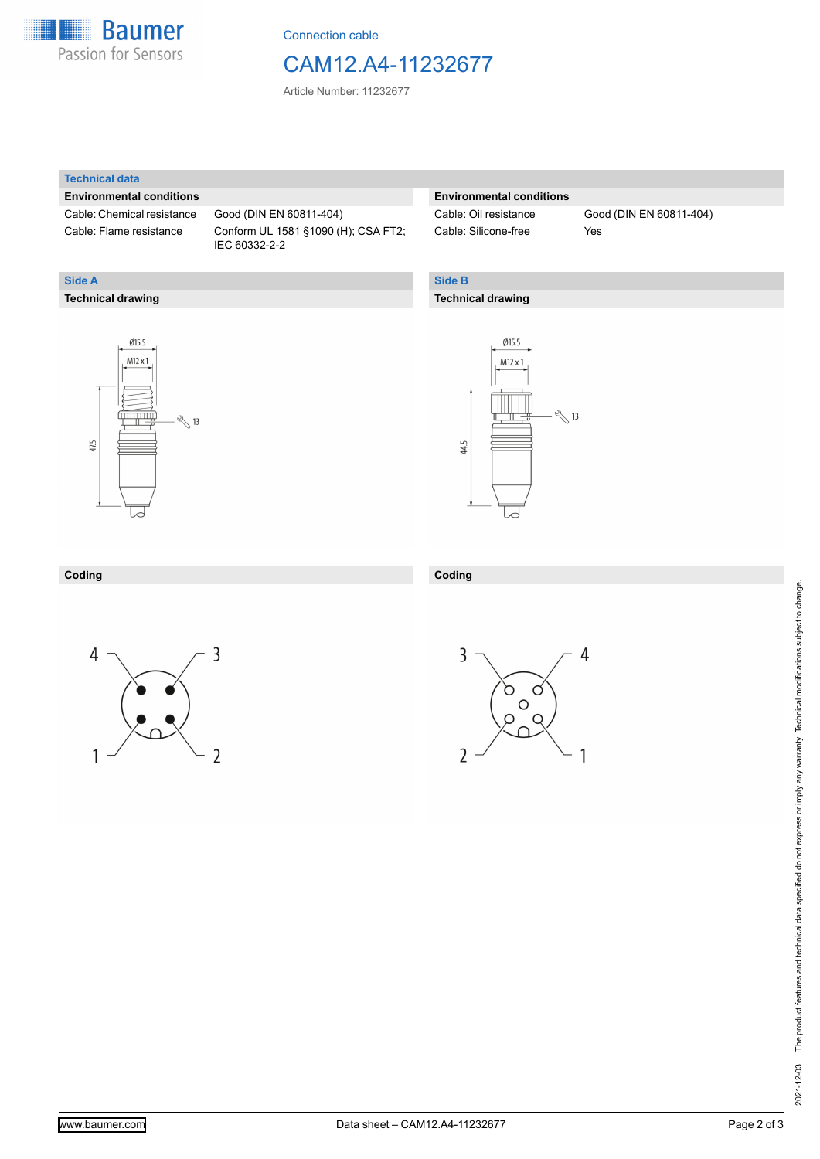

Connection cable

### CAM12.A4-11232677

Article Number: 11232677

#### **Technical data**

**Technical drawing**

**Side A**

#### **Environmental conditions**

Cable: Chemical resistance Good (DIN EN 60811-404)

Cable: Flame resistance Conform UL 1581 §1090 (H); CSA FT2; IEC 60332-2-2

### **Environmental conditions**

Cable: Silicone-free Yes

Cable: Oil resistance Good (DIN EN 60811-404)

### **Side B**

#### **Technical drawing**





| Coding | Codina<br>,,,,,,, |
|--------|-------------------|
|        |                   |